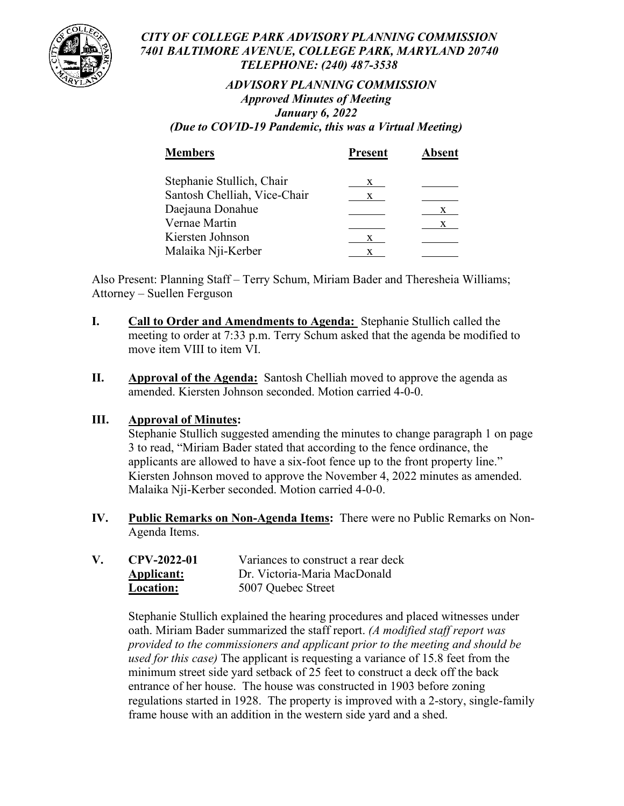

#### *CITY OF COLLEGE PARK ADVISORY PLANNING COMMISSION 7401 BALTIMORE AVENUE, COLLEGE PARK, MARYLAND 20740 TELEPHONE: (240) 487-3538*

# *ADVISORY PLANNING COMMISSION Approved Minutes of Meeting January 6, 2022*

*(Due to COVID-19 Pandemic, this was a Virtual Meeting)*

| <b>Members</b>               | <b>Present</b> | Absent |
|------------------------------|----------------|--------|
| Stephanie Stullich, Chair    | X.             |        |
| Santosh Chelliah, Vice-Chair | X.             |        |
| Daejauna Donahue             |                | X      |
| Vernae Martin                |                | X.     |
| Kiersten Johnson             | X              |        |
| Malaika Nji-Kerber           |                |        |

Also Present: Planning Staff – Terry Schum, Miriam Bader and Theresheia Williams; Attorney – Suellen Ferguson

- **I. Call to Order and Amendments to Agenda:** Stephanie Stullich called the meeting to order at 7:33 p.m. Terry Schum asked that the agenda be modified to move item VIII to item VI.
- **II. Approval of the Agenda:** Santosh Chelliah moved to approve the agenda as amended. Kiersten Johnson seconded. Motion carried 4-0-0.

# **III. Approval of Minutes:**

Stephanie Stullich suggested amending the minutes to change paragraph 1 on page 3 to read, "Miriam Bader stated that according to the fence ordinance, the applicants are allowed to have a six-foot fence up to the front property line." Kiersten Johnson moved to approve the November 4, 2022 minutes as amended. Malaika Nji-Kerber seconded. Motion carried 4-0-0.

**IV. Public Remarks on Non-Agenda Items:** There were no Public Remarks on Non-Agenda Items.

| ${\bf V}_-$ | CPV-2022-01 | Variances to construct a rear deck |
|-------------|-------------|------------------------------------|
|             | Applicant:  | Dr. Victoria-Maria MacDonald       |
|             | Location:   | 5007 Quebec Street                 |

Stephanie Stullich explained the hearing procedures and placed witnesses under oath. Miriam Bader summarized the staff report. *(A modified staff report was provided to the commissioners and applicant prior to the meeting and should be used for this case)* The applicant is requesting a variance of 15.8 feet from the minimum street side yard setback of 25 feet to construct a deck off the back entrance of her house. The house was constructed in 1903 before zoning regulations started in 1928. The property is improved with a 2-story, single-family frame house with an addition in the western side yard and a shed.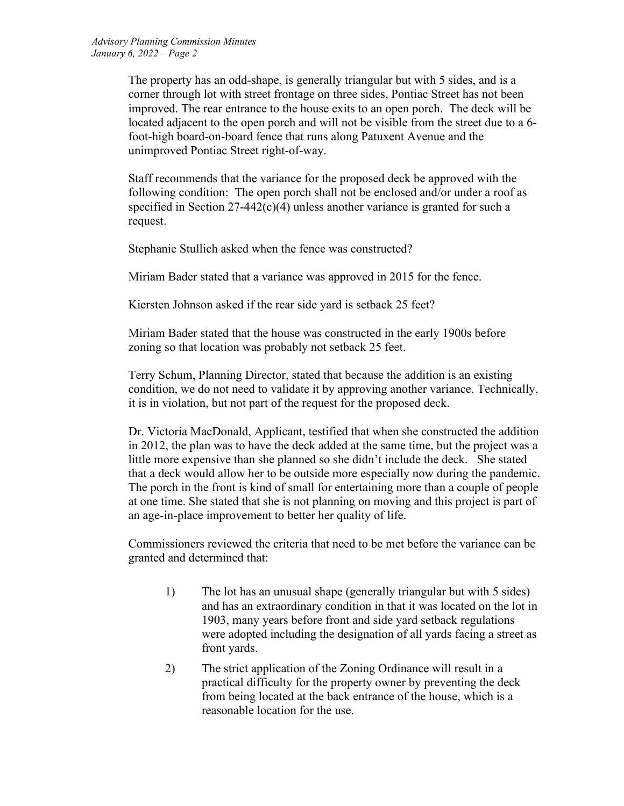The property has an odd-shape, is generally triangular but with 5 sides, and is a corner through lot with street frontage on three sides, Pontiac Street has not been improved. The rear entrance to the house exits to an open porch. The deck will be located adjacent to the open porch and will not be visible from the street due to a 6 foot-high board-on-board fence that runs along Patuxent Avenue and the unimproved Pontiac Street right-of-way.

Staff recommends that the variance for the proposed deck be approved with the following condition: The open porch shall not be enclosed and/or under a roof as specified in Section 27-442(c)(4) unless another variance is granted for such a request.

Stephanie Stullich asked when the fence was constructed?

Miriam Bader stated that a variance was approved in 2015 for the fence.

Kiersten Johnson asked if the rear side yard is setback 25 feet?

Miriam Bader stated that the house was constructed in the early 1900s before zoning so that location was probably not setback 25 feet.

Terry Schum, Planning Director, stated that because the addition is an existing condition, we do not need to validate it by approving another variance. Technically, it is in violation, but not part of the request for the proposed deck.

Dr. Victoria MacDonald, Applicant, testified that when she constructed the addition in 2012, the plan was to have the deck added at the same time, but the project was a little more expensive than she planned so she didn't include the deck. She stated that a deck would allow her to be outside more especially now during the pandemic. The porch in the front is kind of small for entertaining more than a couple of people at one time. She stated that she is not planning on moving and this project is part of an age-in-place improvement to better her quality of life.

Commissioners reviewed the criteria that need to be met before the variance can be granted and determined that:

- 1) The lot has an unusual shape (generally triangular but with 5 sides) and has an extraordinary condition in that it was located on the lot in 1903, many years before front and side yard setback regulations were adopted including the designation of all yards facing a street as front yards.
- 2) The strict application of the Zoning Ordinance will result in a practical difficulty for the property owner by preventing the deck from being located at the back entrance of the house, which is a reasonable location for the use.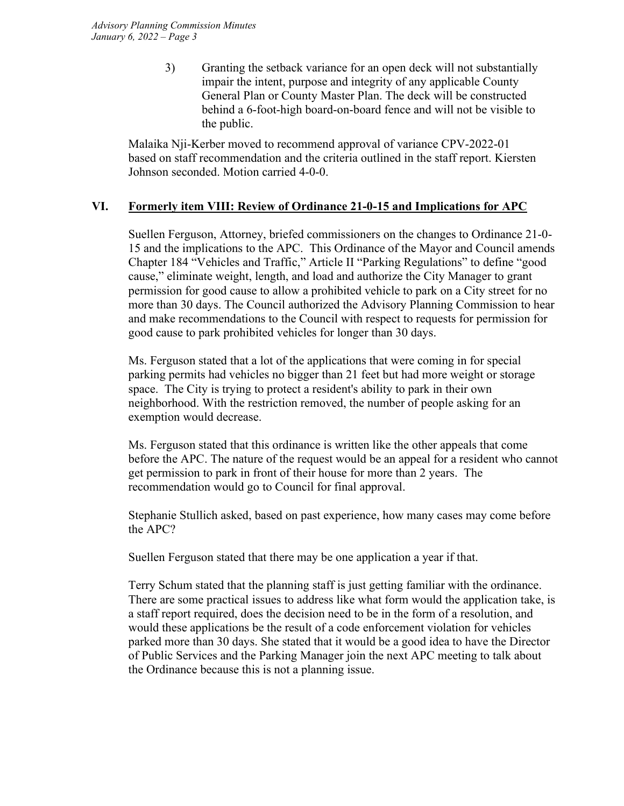3) Granting the setback variance for an open deck will not substantially impair the intent, purpose and integrity of any applicable County General Plan or County Master Plan. The deck will be constructed behind a 6-foot-high board-on-board fence and will not be visible to the public.

Malaika Nji-Kerber moved to recommend approval of variance CPV-2022-01 based on staff recommendation and the criteria outlined in the staff report. Kiersten Johnson seconded. Motion carried 4-0-0.

# **VI. Formerly item VIII: Review of Ordinance 21-0-15 and Implications for APC**

Suellen Ferguson, Attorney, briefed commissioners on the changes to Ordinance 21-0- 15 and the implications to the APC. This Ordinance of the Mayor and Council amends Chapter 184 "Vehicles and Traffic," Article II "Parking Regulations" to define "good cause," eliminate weight, length, and load and authorize the City Manager to grant permission for good cause to allow a prohibited vehicle to park on a City street for no more than 30 days. The Council authorized the Advisory Planning Commission to hear and make recommendations to the Council with respect to requests for permission for good cause to park prohibited vehicles for longer than 30 days.

Ms. Ferguson stated that a lot of the applications that were coming in for special parking permits had vehicles no bigger than 21 feet but had more weight or storage space. The City is trying to protect a resident's ability to park in their own neighborhood. With the restriction removed, the number of people asking for an exemption would decrease.

Ms. Ferguson stated that this ordinance is written like the other appeals that come before the APC. The nature of the request would be an appeal for a resident who cannot get permission to park in front of their house for more than 2 years. The recommendation would go to Council for final approval.

Stephanie Stullich asked, based on past experience, how many cases may come before the APC?

Suellen Ferguson stated that there may be one application a year if that.

Terry Schum stated that the planning staff is just getting familiar with the ordinance. There are some practical issues to address like what form would the application take, is a staff report required, does the decision need to be in the form of a resolution, and would these applications be the result of a code enforcement violation for vehicles parked more than 30 days. She stated that it would be a good idea to have the Director of Public Services and the Parking Manager join the next APC meeting to talk about the Ordinance because this is not a planning issue.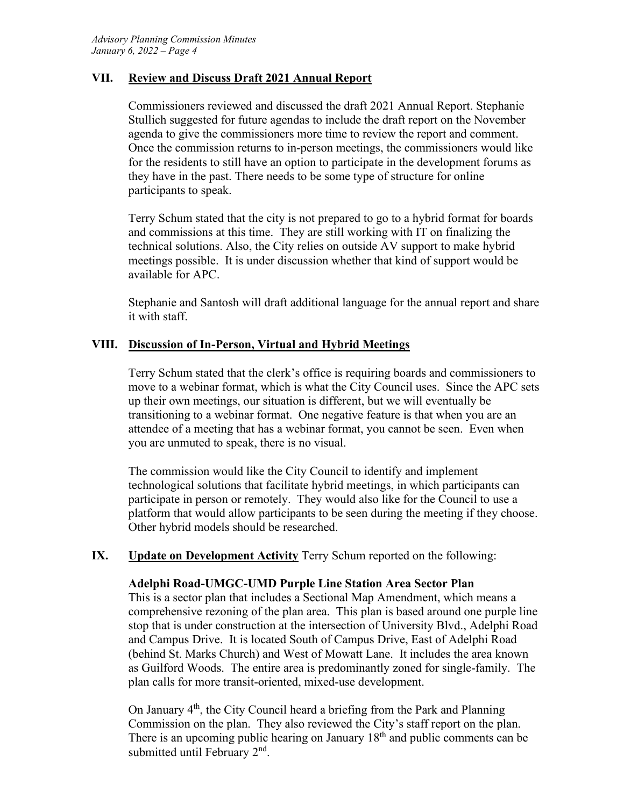#### **VII. Review and Discuss Draft 2021 Annual Report**

Commissioners reviewed and discussed the draft 2021 Annual Report. Stephanie Stullich suggested for future agendas to include the draft report on the November agenda to give the commissioners more time to review the report and comment. Once the commission returns to in-person meetings, the commissioners would like for the residents to still have an option to participate in the development forums as they have in the past. There needs to be some type of structure for online participants to speak.

Terry Schum stated that the city is not prepared to go to a hybrid format for boards and commissions at this time. They are still working with IT on finalizing the technical solutions. Also, the City relies on outside AV support to make hybrid meetings possible. It is under discussion whether that kind of support would be available for APC.

Stephanie and Santosh will draft additional language for the annual report and share it with staff.

#### **VIII. Discussion of In-Person, Virtual and Hybrid Meetings**

Terry Schum stated that the clerk's office is requiring boards and commissioners to move to a webinar format, which is what the City Council uses. Since the APC sets up their own meetings, our situation is different, but we will eventually be transitioning to a webinar format. One negative feature is that when you are an attendee of a meeting that has a webinar format, you cannot be seen. Even when you are unmuted to speak, there is no visual.

The commission would like the City Council to identify and implement technological solutions that facilitate hybrid meetings, in which participants can participate in person or remotely. They would also like for the Council to use a platform that would allow participants to be seen during the meeting if they choose. Other hybrid models should be researched.

#### **IX. Update on Development Activity** Terry Schum reported on the following:

#### **Adelphi Road-UMGC-UMD Purple Line Station Area Sector Plan**

This is a sector plan that includes a Sectional Map Amendment, which means a comprehensive rezoning of the plan area. This plan is based around one purple line stop that is under construction at the intersection of University Blvd., Adelphi Road and Campus Drive. It is located South of Campus Drive, East of Adelphi Road (behind St. Marks Church) and West of Mowatt Lane. It includes the area known as Guilford Woods. The entire area is predominantly zoned for single-family. The plan calls for more transit-oriented, mixed-use development.

On January 4<sup>th</sup>, the City Council heard a briefing from the Park and Planning Commission on the plan. They also reviewed the City's staff report on the plan. There is an upcoming public hearing on January  $18<sup>th</sup>$  and public comments can be submitted until February 2<sup>nd</sup>.